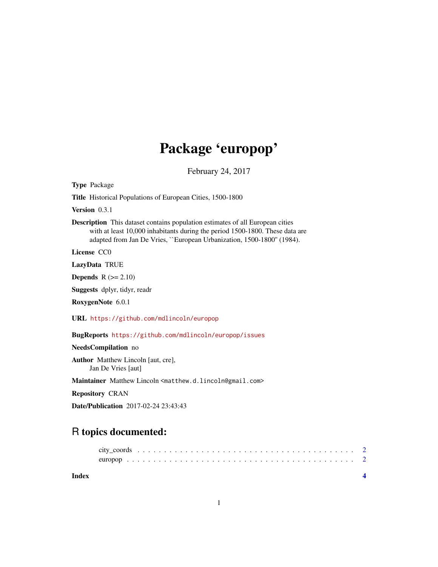# Package 'europop'

February 24, 2017

Type Package

Title Historical Populations of European Cities, 1500-1800

Version 0.3.1

Description This dataset contains population estimates of all European cities with at least 10,000 inhabitants during the period 1500-1800. These data are adapted from Jan De Vries, ``European Urbanization, 1500-1800'' (1984).

License CC0

LazyData TRUE

**Depends**  $R$  ( $>= 2.10$ )

Suggests dplyr, tidyr, readr

RoxygenNote 6.0.1

URL <https://github.com/mdlincoln/europop>

BugReports <https://github.com/mdlincoln/europop/issues>

NeedsCompilation no

Author Matthew Lincoln [aut, cre], Jan De Vries [aut]

Maintainer Matthew Lincoln <matthew.d.lincoln@gmail.com>

Repository CRAN

Date/Publication 2017-02-24 23:43:43

## R topics documented:

| Index |  |  |  |  |  |  |  |  |  |  |  |  |  |  |  |  |  |  |  |
|-------|--|--|--|--|--|--|--|--|--|--|--|--|--|--|--|--|--|--|--|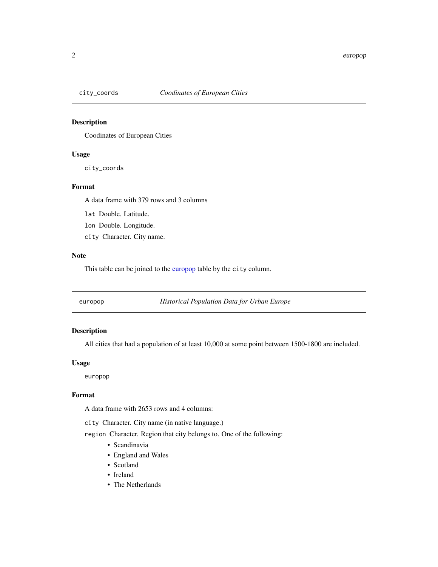<span id="page-1-2"></span><span id="page-1-0"></span>

#### Description

Coodinates of European Cities

#### Usage

city\_coords

#### Format

A data frame with 379 rows and 3 columns

lat Double. Latitude.

lon Double. Longitude.

city Character. City name.

#### Note

This table can be joined to the [europop](#page-1-1) table by the city column.

<span id="page-1-1"></span>europop *Historical Population Data for Urban Europe*

#### Description

All cities that had a population of at least 10,000 at some point between 1500-1800 are included.

#### Usage

europop

#### Format

A data frame with 2653 rows and 4 columns:

city Character. City name (in native language.)

region Character. Region that city belongs to. One of the following:

- Scandinavia
- England and Wales
- Scotland
- Ireland
- The Netherlands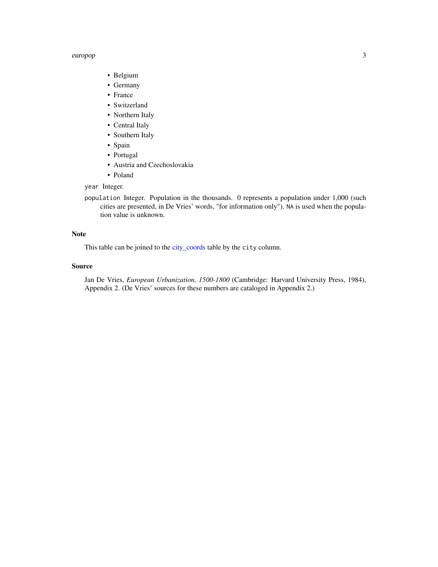#### <span id="page-2-0"></span>europop 3

- Belgium
- Germany
- France
- Switzerland
- Northern Italy
- Central Italy
- Southern Italy
- Spain
- Portugal
- Austria and Czechoslovakia
- Poland

#### year Integer.

population Integer. Population in the thousands. 0 represents a population under 1,000 (such cities are presented, in De Vries' words, "for information only"). NA is used when the population value is unknown.

#### Note

This table can be joined to the [city\\_coords](#page-1-2) table by the city column.

#### Source

Jan De Vries, *European Urbanization, 1500-1800* (Cambridge: Harvard University Press, 1984), Appendix 2. (De Vries' sources for these numbers are cataloged in Appendix 2.)